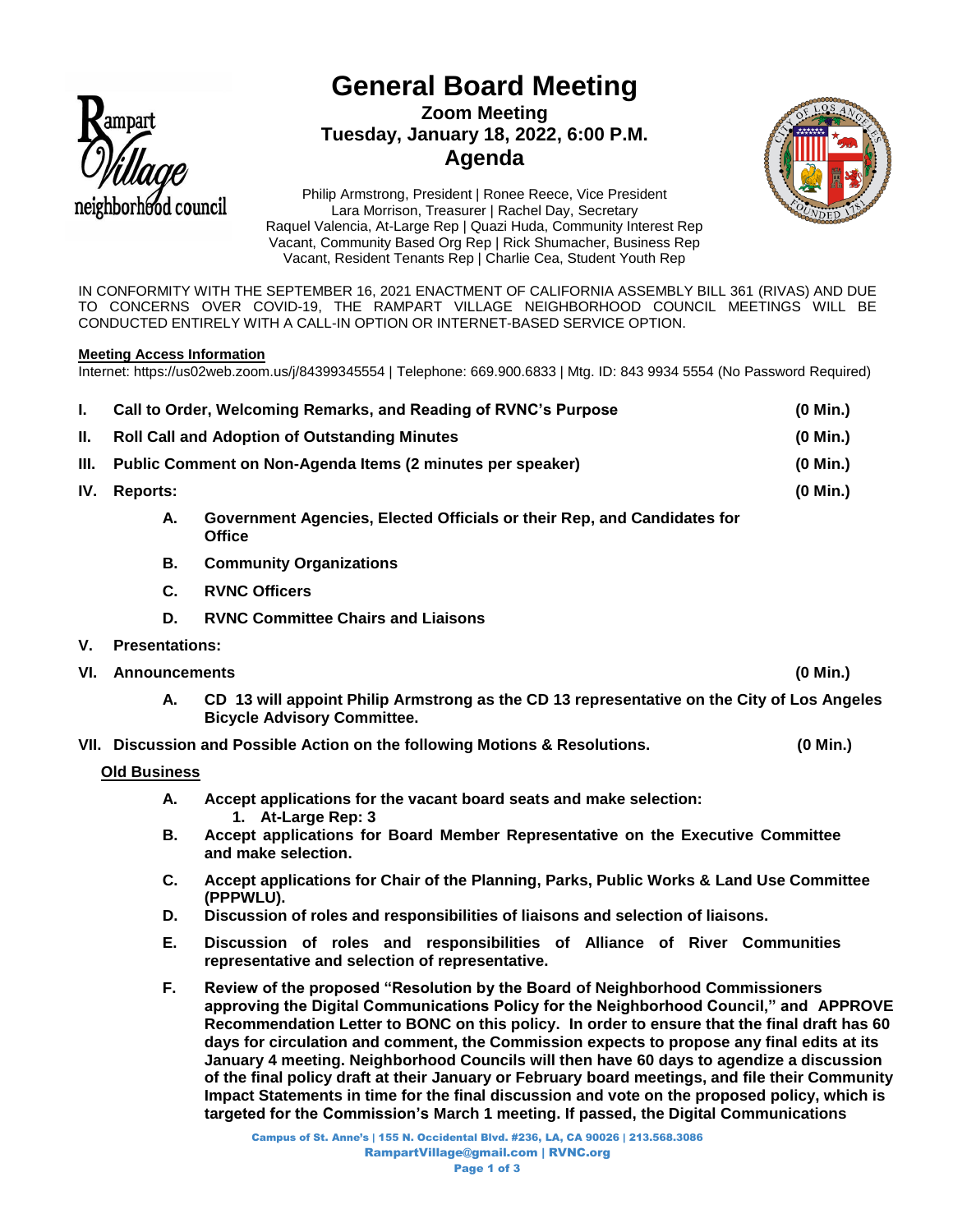

# **General Board Meeting Zoom Meeting Tuesday, January 18, 2022, 6:00 P.M. Agenda**



Philip Armstrong, President | Ronee Reece, Vice President Lara Morrison, Treasurer | Rachel Day, Secretary Raquel Valencia, At-Large Rep | Quazi Huda, Community Interest Rep Vacant, Community Based Org Rep | Rick Shumacher, Business Rep Vacant, Resident Tenants Rep | Charlie Cea, Student Youth Rep

IN CONFORMITY WITH THE SEPTEMBER 16, 2021 ENACTMENT OF CALIFORNIA ASSEMBLY BILL 361 (RIVAS) AND DUE TO CONCERNS OVER COVID-19, THE RAMPART VILLAGE NEIGHBORHOOD COUNCIL MEETINGS WILL BE CONDUCTED ENTIRELY WITH A CALL-IN OPTION OR INTERNET-BASED SERVICE OPTION.

## **Meeting Access Information**

Internet: https://us02web.zoom.us/j/84399345554 | Telephone: 669.900.6833 | Mtg. ID: 843 9934 5554 (No Password Required)

| Ъ.   | $(0$ Min.)<br>Call to Order, Welcoming Remarks, and Reading of RVNC's Purpose |                                                                                                                                  |            |
|------|-------------------------------------------------------------------------------|----------------------------------------------------------------------------------------------------------------------------------|------------|
| H.   | <b>Roll Call and Adoption of Outstanding Minutes</b>                          |                                                                                                                                  | $(0$ Min.) |
| III. | Public Comment on Non-Agenda Items (2 minutes per speaker)                    |                                                                                                                                  | $(0$ Min.) |
| IV.  | <b>Reports:</b>                                                               |                                                                                                                                  | $(0$ Min.) |
|      | Α.                                                                            | Government Agencies, Elected Officials or their Rep, and Candidates for<br><b>Office</b>                                         |            |
|      | В.                                                                            | <b>Community Organizations</b>                                                                                                   |            |
|      | C.                                                                            | <b>RVNC Officers</b>                                                                                                             |            |
|      | D.                                                                            | <b>RVNC Committee Chairs and Liaisons</b>                                                                                        |            |
| V.   | <b>Presentations:</b>                                                         |                                                                                                                                  |            |
| VI.  | <b>Announcements</b>                                                          |                                                                                                                                  | (0 Min.)   |
|      | А.                                                                            | CD 13 will appoint Philip Armstrong as the CD 13 representative on the City of Los Angeles<br><b>Bicycle Advisory Committee.</b> |            |
|      |                                                                               | VII. Discussion and Possible Action on the following Motions & Resolutions.                                                      | $(0$ Min.) |
|      | <b>Old Business</b>                                                           |                                                                                                                                  |            |
|      | А.                                                                            | Accept applications for the vacant board seats and make selection:                                                               |            |

- **1. At-Large Rep: 3 B. Accept applications for Board Member Representative on the Executive Committee and make selection.**
- **C. Accept applications for Chair of the Planning, Parks, Public Works & Land Use Committee (PPPWLU).**
- **D. Discussion of roles and responsibilities of liaisons and selection of liaisons.**
- **E. Discussion of roles and responsibilities of Alliance of River Communities representative and selection of representative.**
- **F. Review of the proposed "Resolution by the Board of Neighborhood Commissioners approving the Digital Communications Policy for the Neighborhood Council," and APPROVE Recommendation Letter to BONC on this policy. In order to ensure that the final draft has 60 days for circulation and comment, the Commission expects to propose any final edits at its January 4 meeting. Neighborhood Councils will then have 60 days to agendize a discussion of the final policy draft at their January or February board meetings, and file their Community Impact Statements in time for the final discussion and vote on the proposed policy, which is targeted for the Commission's March 1 meeting. If passed, the Digital Communications**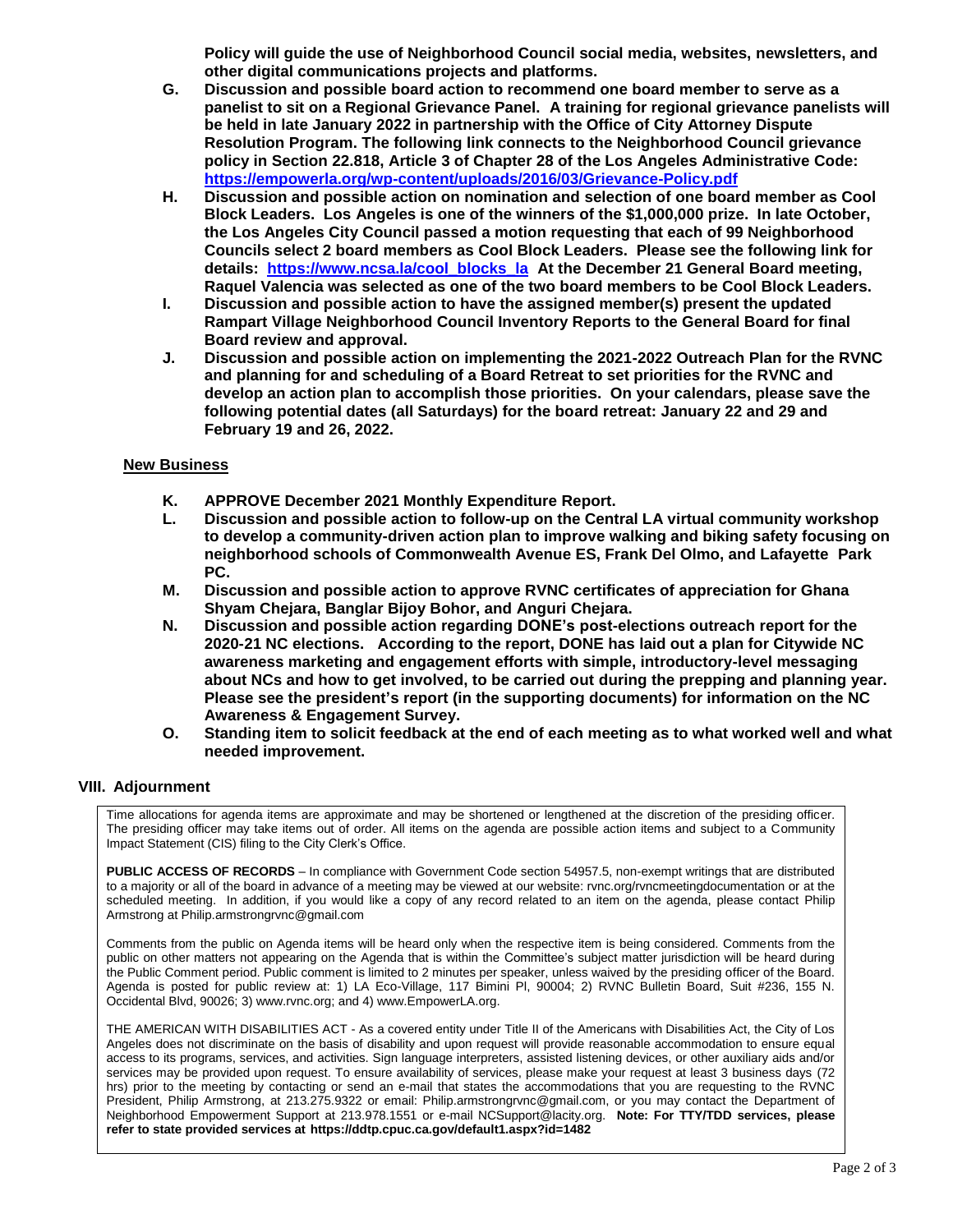**Policy will guide the use of Neighborhood Council social media, websites, newsletters, and other digital communications projects and platforms.** 

- **G. Discussion and possible board action to recommend one board member to serve as a panelist to sit on a Regional Grievance Panel. A training for regional grievance panelists will be held in late January 2022 in partnership with the Office of City Attorney Dispute Resolution Program. The following link connects to the Neighborhood Council grievance policy in Section 22.818, Article 3 of Chapter 28 of the Los Angeles Administrative Code: <https://empowerla.org/wp-content/uploads/2016/03/Grievance-Policy.pdf>**
- **H. Discussion and possible action on nomination and selection of one board member as Cool Block Leaders. Los Angeles is one of the winners of the \$1,000,000 prize. In late October, the Los Angeles City Council passed a motion requesting that each of 99 Neighborhood Councils select 2 board members as Cool Block Leaders. Please see the following link for details: [https://www.ncsa.la/cool\\_blocks\\_la](https://www.ncsa.la/cool_blocks_la) At the December 21 General Board meeting, Raquel Valencia was selected as one of the two board members to be Cool Block Leaders.**
- **I. Discussion and possible action to have the assigned member(s) present the updated Rampart Village Neighborhood Council Inventory Reports to the General Board for final Board review and approval.**
- **J. Discussion and possible action on implementing the 2021-2022 Outreach Plan for the RVNC and planning for and scheduling of a Board Retreat to set priorities for the RVNC and develop an action plan to accomplish those priorities. On your calendars, please save the following potential dates (all Saturdays) for the board retreat: January 22 and 29 and February 19 and 26, 2022.**

## **New Business**

- **K. APPROVE December 2021 Monthly Expenditure Report.**
- **L. Discussion and possible action to follow-up on the Central LA virtual community workshop to develop a community-driven action plan to improve walking and biking safety focusing on neighborhood schools of Commonwealth Avenue ES, Frank Del Olmo, and Lafayette Park PC.**
- **M. Discussion and possible action to approve RVNC certificates of appreciation for Ghana Shyam Chejara, Banglar Bijoy Bohor, and Anguri Chejara.**
- **N. Discussion and possible action regarding DONE's post-elections outreach report for the 2020-21 NC elections. According to the report, DONE has laid out a plan for Citywide NC awareness marketing and engagement efforts with simple, introductory-level messaging about NCs and how to get involved, to be carried out during the prepping and planning year. Please see the president's report (in the supporting documents) for information on the NC Awareness & Engagement Survey.**
- **O. Standing item to solicit feedback at the end of each meeting as to what worked well and what needed improvement.**

### **VIII. Adjournment**

Time allocations for agenda items are approximate and may be shortened or lengthened at the discretion of the presiding officer. The presiding officer may take items out of order. All items on the agenda are possible action items and subject to a Community Impact Statement (CIS) filing to the City Clerk's Office.

**PUBLIC ACCESS OF RECORDS** – In compliance with Government Code section 54957.5, non-exempt writings that are distributed to a majority or all of the board in advance of a meeting may be viewed at our website: rvnc.org/rvncmeetingdocumentation or at the scheduled meeting. In addition, if you would like a copy of any record related to an item on the agenda, please contact Philip Armstrong at Philip.armstrongrvnc@gmail.com

Comments from the public on Agenda items will be heard only when the respective item is being considered. Comments from the public on other matters not appearing on the Agenda that is within the Committee's subject matter jurisdiction will be heard during the Public Comment period. Public comment is limited to 2 minutes per speaker, unless waived by the presiding officer of the Board. Agenda is posted for public review at: 1) LA Eco-Village, 117 Bimini Pl, 90004; 2) RVNC Bulletin Board, Suit #236, 155 N. Occidental Blvd, 90026; 3) www.rvnc.org; and 4) www.EmpowerLA.org.

THE AMERICAN WITH DISABILITIES ACT - As a covered entity under Title II of the Americans with Disabilities Act, the City of Los Angeles does not discriminate on the basis of disability and upon request will provide reasonable accommodation to ensure equal access to its programs, services, and activities. Sign language interpreters, assisted listening devices, or other auxiliary aids and/or services may be provided upon request. To ensure availability of services, please make your request at least 3 business days (72 hrs) prior to the meeting by contacting or send an e-mail that states the accommodations that you are requesting to the RVNC President, Philip Armstrong, at 213.275.9322 or email: Philip.armstrongrvnc@gmail.com, or you may contact the Department of Neighborhood Empowerment Support at 213.978.1551 or e-mail NCSupport@lacity.org. **Note: For TTY/TDD services, please refer to state provided services at https://ddtp.cpuc.ca.gov/default1.aspx?id=1482**